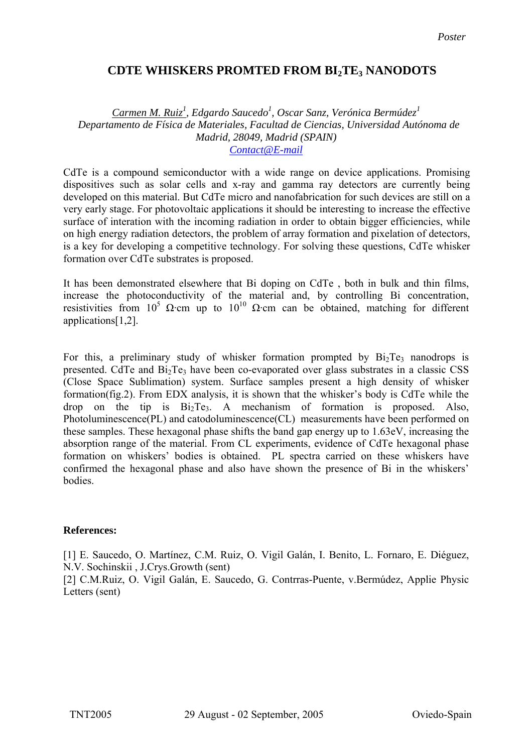## **PDTE WHISKERS PROMTED FROM BI2TE3 NANODOTS**

## *Carmen M. Ruiz1 , Edgardo Saucedo1 , Oscar Sanz, Verónica Bermúdez<sup>1</sup> Departamento de Física de Materiales, Facultad de Ciencias, Universidad Autónoma de Madrid, 28049, Madrid (SPAIN) Contact@E-mail*

CdTe is a compound semiconductor with a wide range on device applications. Promising dispositives such as solar cells and x-ray and gamma ray detectors are currently being developed on this material. But CdTe micro and nanofabrication for such devices are still on a very early stage. For photovoltaic applications it should be interesting to increase the effective surface of interation with the incoming radiation in order to obtain bigger efficiencies, while on high energy radiation detectors, the problem of array formation and pixelation of detectors, is a key for developing a competitive technology. For solving these questions, CdTe whisker formation over CdTe substrates is proposed.

It has been demonstrated elsewhere that Bi doping on CdTe , both in bulk and thin films, increase the photoconductivity of the material and, by controlling Bi concentration, resistivities from  $10^5$  Ω·cm up to  $10^{10}$  Ω·cm can be obtained, matching for different applications[1,2].

For this, a preliminary study of whisker formation prompted by  $Bi<sub>2</sub>Te<sub>3</sub>$  nanodrops is presented. CdTe and  $Bi<sub>2</sub>Te<sub>3</sub>$  have been co-evaporated over glass substrates in a classic CSS (Close Space Sublimation) system. Surface samples present a high density of whisker formation(fig.2). From EDX analysis, it is shown that the whisker's body is CdTe while the drop on the tip is  $Bi_2Te_3$ . A mechanism of formation is proposed. Also, Photoluminescence(PL) and catodoluminescence(CL) measurements have been performed on these samples. These hexagonal phase shifts the band gap energy up to 1.63eV, increasing the absorption range of the material. From CL experiments, evidence of CdTe hexagonal phase formation on whiskers' bodies is obtained. PL spectra carried on these whiskers have confirmed the hexagonal phase and also have shown the presence of Bi in the whiskers' bodies.

## **References:**

[1] E. Saucedo, O. Martínez, C.M. Ruiz, O. Vigil Galán, I. Benito, L. Fornaro, E. Diéguez, N.V. Sochinskii , J.Crys.Growth (sent)

[2] C.M.Ruiz, O. Vigil Galán, E. Saucedo, G. Contrras-Puente, v.Bermúdez, Applie Physic Letters (sent)